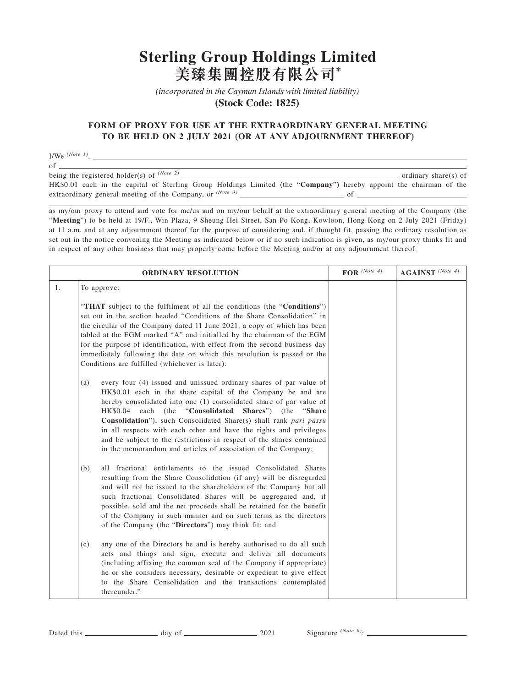## **Sterling Group Holdings Limited 美臻集團控股有限公司\***

*(incorporated in the Cayman Islands with limited liability)* 

**(Stock Code: 1825)** 

## **FORM OF PROXY FOR USE AT THE EXTRAORDINARY GENERAL MEETING TO BE HELD ON 2 JULY 2021 (OR AT ANY ADJOURNMENT THEREOF)**

I/We *(Note 1)*,

of

being the registered holder(s) of *(Note 2)* ordinary share(s) of HK\$0.01 each in the capital of Sterling Group Holdings Limited (the "**Company**") hereby appoint the chairman of the extraordinary general meeting of the Company, or  $(Note 3)$   $\qquad \qquad$  of  $\qquad \qquad$ 

as my/our proxy to attend and vote for me/us and on my/our behalf at the extraordinary general meeting of the Company (the "**Meeting**") to be held at 19/F., Win Plaza, 9 Sheung Hei Street, San Po Kong, Kowloon, Hong Kong on 2 July 2021 (Friday) at 11 a.m. and at any adjournment thereof for the purpose of considering and, if thought fit, passing the ordinary resolution as set out in the notice convening the Meeting as indicated below or if no such indication is given, as my/our proxy thinks fit and in respect of any other business that may properly come before the Meeting and/or at any adjournment thereof:

| <b>ORDINARY RESOLUTION</b> |                                                                                                                                                                                                                                                                                                                                                                                                                                                                                                                                                                             | $\textbf{FOR}$ (Note 4) | $AGAINST$ (Note 4) |
|----------------------------|-----------------------------------------------------------------------------------------------------------------------------------------------------------------------------------------------------------------------------------------------------------------------------------------------------------------------------------------------------------------------------------------------------------------------------------------------------------------------------------------------------------------------------------------------------------------------------|-------------------------|--------------------|
| 1.                         | To approve:                                                                                                                                                                                                                                                                                                                                                                                                                                                                                                                                                                 |                         |                    |
|                            | "THAT subject to the fulfilment of all the conditions (the "Conditions")<br>set out in the section headed "Conditions of the Share Consolidation" in<br>the circular of the Company dated 11 June 2021, a copy of which has been<br>tabled at the EGM marked "A" and initialled by the chairman of the EGM<br>for the purpose of identification, with effect from the second business day<br>immediately following the date on which this resolution is passed or the<br>Conditions are fulfilled (whichever is later):                                                     |                         |                    |
|                            | every four (4) issued and unissued ordinary shares of par value of<br>(a)<br>HK\$0.01 each in the share capital of the Company be and are<br>hereby consolidated into one (1) consolidated share of par value of<br>each<br>(the<br>"Consolidated<br>Shares") (the "Share"<br>HK\$0.04<br>Consolidation"), such Consolidated Share(s) shall rank pari passu<br>in all respects with each other and have the rights and privileges<br>and be subject to the restrictions in respect of the shares contained<br>in the memorandum and articles of association of the Company; |                         |                    |
|                            | all fractional entitlements to the issued Consolidated Shares<br>(b)<br>resulting from the Share Consolidation (if any) will be disregarded<br>and will not be issued to the shareholders of the Company but all<br>such fractional Consolidated Shares will be aggregated and, if<br>possible, sold and the net proceeds shall be retained for the benefit<br>of the Company in such manner and on such terms as the directors<br>of the Company (the "Directors") may think fit; and                                                                                      |                         |                    |
|                            | any one of the Directors be and is hereby authorised to do all such<br>(c)<br>acts and things and sign, execute and deliver all documents<br>(including affixing the common seal of the Company if appropriate)<br>he or she considers necessary, desirable or expedient to give effect<br>to the Share Consolidation and the transactions contemplated<br>thereunder."                                                                                                                                                                                                     |                         |                    |